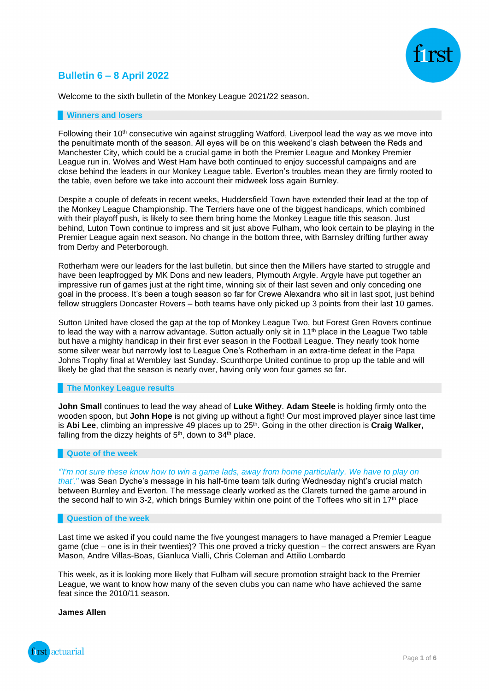## **Bulletin 6 – 8 April 2022**



Welcome to the sixth bulletin of the Monkey League 2021/22 season.

#### **Winners and losers**

Following their 10<sup>th</sup> consecutive win against struggling Watford, Liverpool lead the way as we move into the penultimate month of the season. All eyes will be on this weekend's clash between the Reds and Manchester City, which could be a crucial game in both the Premier League and Monkey Premier League run in. Wolves and West Ham have both continued to enjoy successful campaigns and are close behind the leaders in our Monkey League table. Everton's troubles mean they are firmly rooted to the table, even before we take into account their midweek loss again Burnley.

Despite a couple of defeats in recent weeks, Huddersfield Town have extended their lead at the top of the Monkey League Championship. The Terriers have one of the biggest handicaps, which combined with their playoff push, is likely to see them bring home the Monkey League title this season. Just behind, Luton Town continue to impress and sit just above Fulham, who look certain to be playing in the Premier League again next season. No change in the bottom three, with Barnsley drifting further away from Derby and Peterborough.

Rotherham were our leaders for the last bulletin, but since then the Millers have started to struggle and have been leapfrogged by MK Dons and new leaders, Plymouth Argyle. Argyle have put together an impressive run of games just at the right time, winning six of their last seven and only conceding one goal in the process. It's been a tough season so far for Crewe Alexandra who sit in last spot, just behind fellow strugglers Doncaster Rovers – both teams have only picked up 3 points from their last 10 games.

Sutton United have closed the gap at the top of Monkey League Two, but Forest Gren Rovers continue to lead the way with a narrow advantage. Sutton actually only sit in  $11<sup>th</sup>$  place in the League Two table but have a mighty handicap in their first ever season in the Football League. They nearly took home some silver wear but narrowly lost to League One's Rotherham in an extra-time defeat in the Papa Johns Trophy final at Wembley last Sunday. Scunthorpe United continue to prop up the table and will likely be glad that the season is nearly over, having only won four games so far.

### **The Monkey League results**

**John Small** continues to lead the way ahead of **Luke Withey**. **Adam Steele** is holding firmly onto the wooden spoon, but **John Hope** is not giving up without a fight! Our most improved player since last time is **Abi Lee**, climbing an impressive 49 places up to 25<sup>th</sup>. Going in the other direction is **Craig Walker**, falling from the dizzy heights of  $5<sup>th</sup>$ , down to  $34<sup>th</sup>$  place.

### **Quote of the week**

*"'I'm not sure these know how to win a game lads, away from home particularly. We have to play on that',"* was Sean Dyche's message in his half-time team talk during Wednesday night's crucial match between Burnley and Everton. The message clearly worked as the Clarets turned the game around in the second half to win 3-2, which brings Burnley within one point of the Toffees who sit in  $17<sup>th</sup>$  place

#### **Question of the week**

Last time we asked if you could name the five youngest managers to have managed a Premier League game (clue – one is in their twenties)? This one proved a tricky question – the correct answers are Ryan Mason, Andre Villas-Boas, Gianluca Vialli, Chris Coleman and Attilio Lombardo

This week, as it is looking more likely that Fulham will secure promotion straight back to the Premier League, we want to know how many of the seven clubs you can name who have achieved the same feat since the 2010/11 season.

**James Allen**

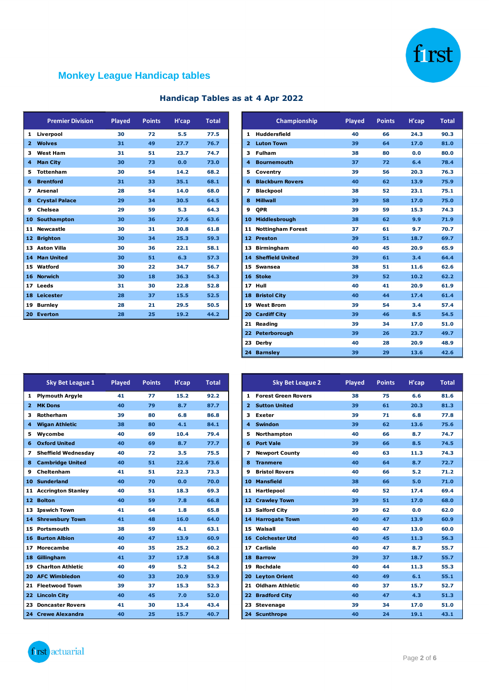

# **Monkey League Handicap tables**

|                         | <b>Premier Division</b> | <b>Played</b> | <b>Points</b> | H'cap | <b>Total</b> |
|-------------------------|-------------------------|---------------|---------------|-------|--------------|
| 1                       | Liverpool               | 30            | 72            | 5.5   | 77.5         |
| $\overline{\mathbf{z}}$ | <b>Wolves</b>           | 31            | 49            | 27.7  | 76.7         |
| з                       | <b>West Ham</b>         | 31            | 51            | 23.7  | 74.7         |
| 4                       | <b>Man City</b>         | 30            | 73            | 0.0   | 73.0         |
| 5                       | <b>Tottenham</b>        | 30            | 54            | 14.2  | 68.2         |
| 6                       | <b>Brentford</b>        | 31            | 33            | 35.1  | 68.1         |
| 7                       | Arsenal                 | 28            | 54            | 14.0  | 68.0         |
| 8                       | <b>Crystal Palace</b>   | 29            | 34            | 30.5  | 64.5         |
| 9                       | Chelsea                 | 29            | 59            | 5.3   | 64.3         |
| 10                      | Southampton             | 30            | 36            | 27.6  | 63.6         |
| 11                      | <b>Newcastle</b>        | 30            | 31            | 30.8  | 61.8         |
| 12                      | <b>Brighton</b>         | 30            | 34            | 25.3  | 59.3         |
| 13                      | <b>Aston Villa</b>      | 30            | 36            | 22.1  | 58.1         |
| 14                      | <b>Man United</b>       | 30            | 51            | 6.3   | 57.3         |
| 15                      | Watford                 | 30            | 22            | 34.7  | 56.7         |
| 16                      | <b>Norwich</b>          | 30            | 18            | 36.3  | 54.3         |
| 17                      | Leeds                   | 31            | 30            | 22.8  | 52.8         |
| 18                      | Leicester               | 28            | 37            | 15.5  | 52.5         |
| 19                      | <b>Burnley</b>          | 28            | 21            | 29.5  | 50.5         |
| 20                      | <b>Everton</b>          | 28            | 25            | 19.2  | 44.2         |

| Handicap Tables as at 4 Apr 2022 |  |  |  |  |  |  |
|----------------------------------|--|--|--|--|--|--|
|----------------------------------|--|--|--|--|--|--|

| <b>Premier Division</b> | <b>Played</b> | <b>Points</b> | H'cap | <b>Total</b> |   | Championship              | <b>Played</b> | <b>Points</b> | H'cap |  |
|-------------------------|---------------|---------------|-------|--------------|---|---------------------------|---------------|---------------|-------|--|
| 1 Liverpool             | 30            | 72            | 5.5   | 77.5         |   | 1 Huddersfield            | 40            | 66            | 24.3  |  |
| 2 Wolves                | 31            | 49            | 27.7  | 76.7         |   | 2 Luton Town              | 39            | 64            | 17.0  |  |
| 3 West Ham              | 31            | 51            | 23.7  | 74.7         |   | 3 Fulham                  | 38            | 80            | 0.0   |  |
| 4 Man City              | 30            | 73            | 0.0   | 73.0         |   | 4 Bournemouth             | 37            | 72            | 6.4   |  |
| 5 Tottenham             | 30            | 54            | 14.2  | 68.2         |   | 5 Coventry                | 39            | 56            | 20.3  |  |
| <b>6</b> Brentford      | 31            | 33            | 35.1  | 68.1         |   | <b>6 Blackburn Rovers</b> | 40            | 62            | 13.9  |  |
| 7 Arsenal               | 28            | 54            | 14.0  | 68.0         | 7 | <b>Blackpool</b>          | 38            | 52            | 23.1  |  |
| 8 Crystal Palace        | 29            | 34            | 30.5  | 64.5         | 8 | <b>Millwall</b>           | 39            | 58            | 17.0  |  |
| 9 Chelsea               | 29            | 59            | 5.3   | 64.3         | 9 | <b>OPR</b>                | 39            | 59            | 15.3  |  |
| 10 Southampton          | 30            | 36            | 27.6  | 63.6         |   | 10 Middlesbrough          | 38            | 62            | 9.9   |  |
| 11 Newcastle            | 30            | 31            | 30.8  | 61.8         |   | 11 Nottingham Forest      | 37            | 61            | 9.7   |  |
| 12 Brighton             | 30            | 34            | 25.3  | 59.3         |   | 12 Preston                | 39            | 51            | 18.7  |  |
| 13 Aston Villa          | 30            | 36            | 22.1  | 58.1         |   | 13 Birmingham             | 40            | 45            | 20.9  |  |
| 14 Man United           | 30            | 51            | 6.3   | 57.3         |   | 14 Sheffield United       | 39            | 61            | 3.4   |  |
| 15 Watford              | 30            | 22            | 34.7  | 56.7         |   | 15 Swansea                | 38            | 51            | 11.6  |  |
| 16 Norwich              | 30            | 18            | 36.3  | 54.3         |   | 16 Stoke                  | 39            | 52            | 10.2  |  |
| 17 Leeds                | 31            | 30            | 22.8  | 52.8         |   | 17 Hull                   | 40            | 41            | 20.9  |  |
| 18 Leicester            | 28            | 37            | 15.5  | 52.5         |   | 18 Bristol City           | 40            | 44            | 17.4  |  |
| 19 Burnley              | 28            | 21            | 29.5  | 50.5         |   | 19 West Brom              | 39            | 54            | 3.4   |  |
| 20 Everton              | 28            | 25            | 19.2  | 44.2         |   | 20 Cardiff City           | 39            | 46            | 8.5   |  |
|                         |               |               |       |              |   | 21 Reading                | 39            | 34            | 17.0  |  |
|                         |               |               |       |              |   | 22 Peterborough           | 39            | 26            | 23.7  |  |
|                         |               |               |       |              |   | 23 Derby                  | 40            | 28            | 20.9  |  |
|                         |               |               |       |              |   | 24 Barnsley               | 39            | 29            | 13.6  |  |

|                         | <b>Sky Bet League 1</b>    | <b>Played</b> | <b>Points</b> | H'cap | <b>Total</b> |
|-------------------------|----------------------------|---------------|---------------|-------|--------------|
| 1                       | <b>Plymouth Argyle</b>     | 41            | 77            | 15.2  | 92.2         |
| $\overline{\mathbf{z}}$ | <b>MK Dons</b>             | 40            | 79            | 8.7   | 87.7         |
| 3                       | Rotherham                  | 39            | 80            | 6.8   | 86.8         |
| $\overline{\bf{4}}$     | <b>Wigan Athletic</b>      | 38            | 80            | 4.1   | 84.1         |
| 5                       | Wycombe                    | 40            | 69            | 10.4  | 79.4         |
| 6                       | <b>Oxford United</b>       | 40            | 69            | 8.7   | 77.7         |
| 7                       | <b>Sheffield Wednesday</b> | 40            | 72            | 3.5   | 75.5         |
| 8                       | <b>Cambridge United</b>    | 40            | 51            | 22.6  | 73.6         |
| 9                       | Cheltenham                 | 41            | 51            | 22.3  | 73.3         |
| 10                      | <b>Sunderland</b>          | 40            | 70            | 0.0   | 70.0         |
| 11                      | <b>Accrington Stanley</b>  | 40            | 51            | 18.3  | 69.3         |
| 12                      | <b>Bolton</b>              | 40            | 59            | 7.8   | 66.8         |
| 13                      | <b>Ipswich Town</b>        | 41            | 64            | 1.8   | 65.8         |
| 14                      | <b>Shrewsbury Town</b>     | 41            | 48            | 16.0  | 64.0         |
| 15                      | Portsmouth                 | 38            | 59            | 4.1   | 63.1         |
| 16                      | <b>Burton Albion</b>       | 40            | 47            | 13.9  | 60.9         |
| 17                      | Morecambe                  | 40            | 35            | 25.2  | 60.2         |
| 18                      | Gillingham                 | 41            | 37            | 17.8  | 54.8         |
| 19                      | <b>Charlton Athletic</b>   | 40            | 49            | 5.2   | 54.2         |
| 20                      | <b>AFC Wimbledon</b>       | 40            | 33            | 20.9  | 53.9         |
| 21                      | <b>Fleetwood Town</b>      | 39            | 37            | 15.3  | 52.3         |
| 22                      | <b>Lincoln City</b>        | 40            | 45            | 7.0   | 52.0         |
| 23                      | <b>Doncaster Rovers</b>    | 41            | 30            | 13.4  | 43.4         |
|                         | 24 Crewe Alexandra         | 40            | 25            | 15.7  | 40.7         |

| <b>Sky Bet League 1</b> | <b>Played</b> | <b>Points</b> | H'cap | <b>Total</b> |
|-------------------------|---------------|---------------|-------|--------------|
| 1 Plymouth Argyle       | 41            | 77            | 15.2  | 92.2         |
| 2 MK Dons               | 40            | 79            | 8.7   | 87.7         |
| 3 Rotherham             | 39            | 80            | 6.8   | 86.8         |
| 4 Wigan Athletic        | 38            | 80            | 4.1   | 84.1         |
| 5 Wycombe               | 40            | 69            | 10.4  | 79.4         |
| <b>6</b> Oxford United  | 40            | 69            | 8.7   | 77.7         |
| 7 Sheffield Wednesday   | 40            | 72            | 3.5   | 75.5         |
| 8 Cambridge United      | 40            | 51            | 22.6  | 73.6         |
| 9 Cheltenham            | 41            | 51            | 22.3  | 73.3         |
| 10 Sunderland           | 40            | 70            | 0.0   | 70.0         |
| 11 Accrington Stanley   | 40            | 51            | 18.3  | 69.3         |
| 12 Bolton               | 40            | 59            | 7.8   | 66.8         |
| 13 Ipswich Town         | 41            | 64            | 1.8   | 65.8         |
| 14 Shrewsbury Town      | 41            | 48            | 16.0  | 64.0         |
| 15 Portsmouth           | 38            | 59            | 4.1   | 63.1         |
| <b>16 Burton Albion</b> | 40            | 47            | 13.9  | 60.9         |
| 17 Morecambe            | 40            | 35            | 25.2  | 60.2         |
| 18 Gillingham           | 41            | 37            | 17.8  | 54.8         |
| 19 Charlton Athletic    | 40            | 49            | 5.2   | 54.2         |
| 20 AFC Wimbledon        | 40            | 33            | 20.9  | 53.9         |
| 21 Fleetwood Town       | 39            | 37            | 15.3  | 52.3         |
| 22 Lincoln City         | 40            | 45            | 7.0   | 52.0         |
| 23 Doncaster Rovers     | 41            | 30            | 13.4  | 43.4         |
| 24 Crewe Alexandra      | 40            | 25            | 15.7  | 40.7         |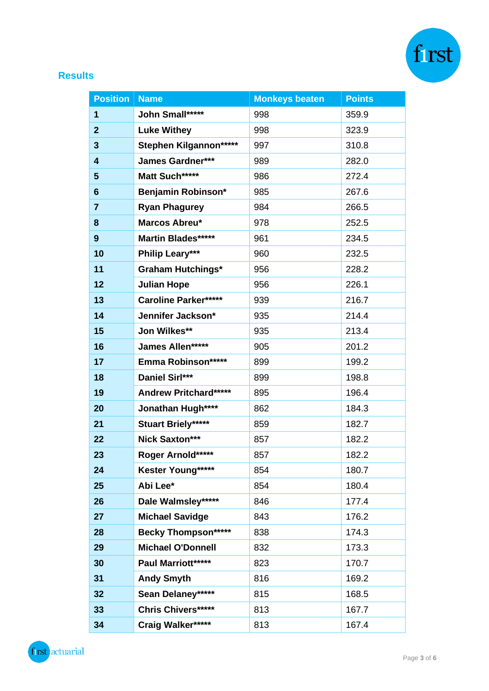

## **Results**

| <b>Position</b>         | <b>Name</b>                  | <b>Monkeys beaten</b> | <b>Points</b> |
|-------------------------|------------------------------|-----------------------|---------------|
| 1                       | John Small******             | 998                   | 359.9         |
| $\overline{2}$          | <b>Luke Withey</b>           | 998                   | 323.9         |
| 3                       | Stephen Kilgannon*****       | 997                   | 310.8         |
| $\overline{\mathbf{4}}$ | <b>James Gardner***</b>      | 989                   | 282.0         |
| 5                       | Matt Such******              | 986                   | 272.4         |
| 6                       | Benjamin Robinson*           | 985                   | 267.6         |
| $\overline{\mathbf{7}}$ | <b>Ryan Phagurey</b>         | 984                   | 266.5         |
| 8                       | Marcos Abreu*                | 978                   | 252.5         |
| $\boldsymbol{9}$        | <b>Martin Blades*****</b>    | 961                   | 234.5         |
| 10                      | <b>Philip Leary***</b>       | 960                   | 232.5         |
| 11                      | <b>Graham Hutchings*</b>     | 956                   | 228.2         |
| 12                      | <b>Julian Hope</b>           | 956                   | 226.1         |
| 13                      | <b>Caroline Parker*****</b>  | 939                   | 216.7         |
| 14                      | Jennifer Jackson*            | 935                   | 214.4         |
| 15                      | Jon Wilkes**                 | 935                   | 213.4         |
| 16                      | James Allen*****             | 905                   | 201.2         |
| 17                      | Emma Robinson******          | 899                   | 199.2         |
| 18                      | Daniel Sirl***               | 899                   | 198.8         |
| 19                      | <b>Andrew Pritchard*****</b> | 895                   | 196.4         |
| 20                      | Jonathan Hugh****            | 862                   | 184.3         |
| 21                      | <b>Stuart Briely*****</b>    | 859                   | 182.7         |
| 22                      | Nick Saxton***               | 857                   | 182.2         |
| 23                      | Roger Arnold*****            | 857                   | 182.2         |
| 24                      | Kester Young*****            | 854                   | 180.7         |
| 25                      | Abi Lee*                     | 854                   | 180.4         |
| 26                      | Dale Walmsley*****           | 846                   | 177.4         |
| 27                      | <b>Michael Savidge</b>       | 843                   | 176.2         |
| 28                      | <b>Becky Thompson*****</b>   | 838                   | 174.3         |
| 29                      | <b>Michael O'Donnell</b>     | 832                   | 173.3         |
| 30                      | Paul Marriott*****           | 823                   | 170.7         |
| 31                      | <b>Andy Smyth</b>            | 816                   | 169.2         |
| 32                      | Sean Delaney*****            | 815                   | 168.5         |
| 33                      | <b>Chris Chivers*****</b>    | 813                   | 167.7         |
| 34                      | Craig Walker*****            | 813                   | 167.4         |

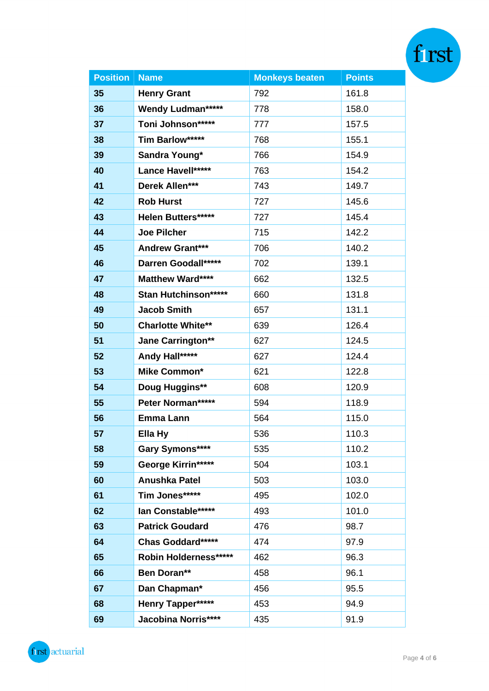| <b>Position</b> | <b>Name</b>                 | <b>Monkeys beaten</b> | <b>Points</b> |  |
|-----------------|-----------------------------|-----------------------|---------------|--|
| 35              | <b>Henry Grant</b>          | 792                   | 161.8         |  |
| 36              | <b>Wendy Ludman*****</b>    | 778                   | 158.0         |  |
| 37              | Toni Johnson*****           | 777                   | 157.5         |  |
| 38              | Tim Barlow*****             | 768                   | 155.1         |  |
| 39              | Sandra Young*               | 766                   | 154.9         |  |
| 40              | Lance Havell*****           | 763                   | 154.2         |  |
| 41              | Derek Allen***              | 743                   | 149.7         |  |
| 42              | <b>Rob Hurst</b>            | 727                   | 145.6         |  |
| 43              | Helen Butters*****          | 727                   | 145.4         |  |
| 44              | <b>Joe Pilcher</b>          | 715                   | 142.2         |  |
| 45              | <b>Andrew Grant***</b>      | 706                   | 140.2         |  |
| 46              | Darren Goodall******        | 702                   | 139.1         |  |
| 47              | <b>Matthew Ward****</b>     | 662                   | 132.5         |  |
| 48              | <b>Stan Hutchinson*****</b> | 660                   | 131.8         |  |
| 49              | <b>Jacob Smith</b>          | 657                   | 131.1         |  |
| 50              | <b>Charlotte White**</b>    | 639                   | 126.4         |  |
| 51              | <b>Jane Carrington**</b>    | 627                   | 124.5         |  |
| 52              | Andy Hall*****              | 627                   | 124.4         |  |
| 53              | <b>Mike Common*</b>         | 621                   | 122.8         |  |
| 54              | <b>Doug Huggins**</b>       | 608                   | 120.9         |  |
| 55              | Peter Norman*****           | 594                   | 118.9         |  |
| 56              | <b>Emma Lann</b>            | 564                   | 115.0         |  |
| 57              | Ella Hy                     | 536                   | 110.3         |  |
| 58              | Gary Symons****             | 535                   | 110.2         |  |
| 59              | George Kirrin*****          | 504                   | 103.1         |  |
| 60              | <b>Anushka Patel</b>        | 503                   | 103.0         |  |
| 61              | Tim Jones*****              | 495                   | 102.0         |  |
| 62              | lan Constable*****          | 493                   | 101.0         |  |
| 63              | <b>Patrick Goudard</b>      | 476                   | 98.7          |  |
| 64              | Chas Goddard*****           | 474                   | 97.9          |  |
| 65              | Robin Holderness*****       | 462                   | 96.3          |  |
| 66              | Ben Doran**                 | 458                   | 96.1          |  |
| 67              | Dan Chapman*                | 456                   | 95.5          |  |
| 68              | Henry Tapper*****           | 453                   | 94.9          |  |
| 69              | Jacobina Norris****         | 435                   | 91.9          |  |

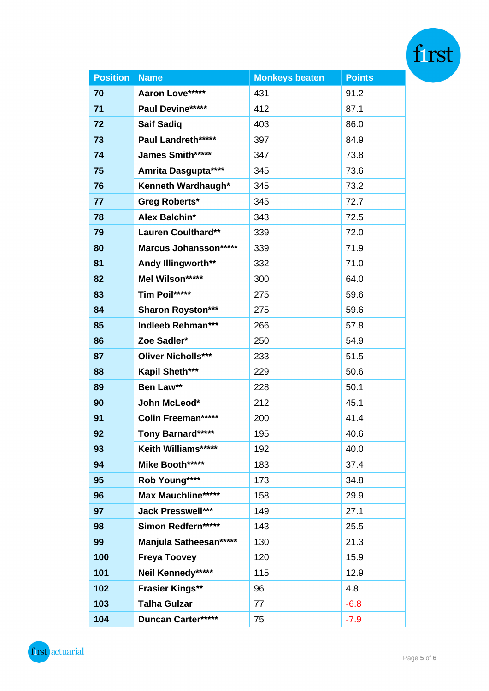| <b>Position</b> | <b>Name</b>                  | <b>Monkeys beaten</b> | <b>Points</b> |  |
|-----------------|------------------------------|-----------------------|---------------|--|
| 70              | Aaron Love*****              | 431                   | 91.2          |  |
| 71              | Paul Devine*****             | 412                   | 87.1          |  |
| 72              | <b>Saif Sadiq</b>            | 403                   | 86.0          |  |
| 73              | Paul Landreth*****           | 397                   | 84.9          |  |
| 74              | <b>James Smith*****</b>      | 347                   | 73.8          |  |
| 75              | Amrita Dasgupta****          | 345                   | 73.6          |  |
| 76              | Kenneth Wardhaugh*           | 345                   | 73.2          |  |
| 77              | <b>Greg Roberts*</b>         | 345                   | 72.7          |  |
| 78              | Alex Balchin*                | 343                   | 72.5          |  |
| 79              | <b>Lauren Coulthard**</b>    | 339                   | 72.0          |  |
| 80              | <b>Marcus Johansson*****</b> | 339                   | 71.9          |  |
| 81              | Andy Illingworth**           | 332                   | 71.0          |  |
| 82              | Mel Wilson*****              | 300                   | 64.0          |  |
| 83              | Tim Poil*****                | 275                   | 59.6          |  |
| 84              | <b>Sharon Royston***</b>     | 275                   | 59.6          |  |
| 85              | Indleeb Rehman***            | 266                   | 57.8          |  |
| 86              | Zoe Sadler*                  | 250                   | 54.9          |  |
| 87              | <b>Oliver Nicholls***</b>    | 233                   | 51.5          |  |
| 88              | Kapil Sheth***               | 229                   | 50.6          |  |
| 89              | Ben Law**                    | 228                   | 50.1          |  |
| 90              | John McLeod*                 | 212                   | 45.1          |  |
| 91              | Colin Freeman*****           | 200                   | 41.4          |  |
| 92              | <b>Tony Barnard*****</b>     | 195                   | 40.6          |  |
| 93              | Keith Williams*****          | 192                   | 40.0          |  |
| 94              | Mike Booth*****              | 183                   | 37.4          |  |
| 95              | Rob Young****                | 173                   | 34.8          |  |
| 96              | Max Mauchline*****           | 158                   | 29.9          |  |
| 97              | <b>Jack Presswell***</b>     | 149                   | 27.1          |  |
| 98              | Simon Redfern*****           | 143                   | 25.5          |  |
| 99              | Manjula Satheesan******      | 130                   | 21.3          |  |
| 100             | <b>Freya Toovey</b>          | 120                   | 15.9          |  |
| 101             | Neil Kennedy*****            | 115                   | 12.9          |  |
| 102             | <b>Frasier Kings**</b>       | 96                    | 4.8           |  |
| 103             | <b>Talha Gulzar</b>          | 77                    | $-6.8$        |  |
| 104             | <b>Duncan Carter*****</b>    | 75                    | $-7.9$        |  |